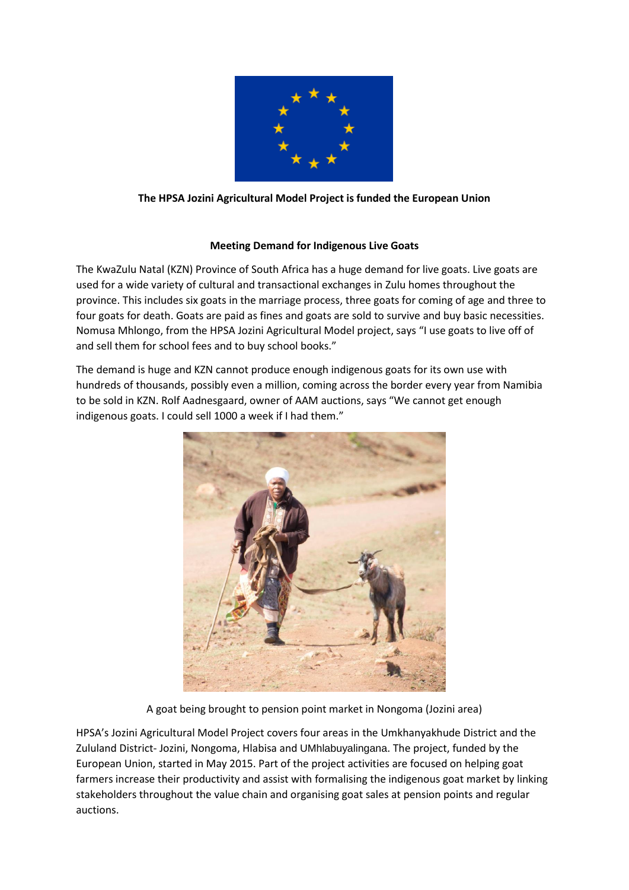

## **The HPSA Jozini Agricultural Model Project is funded the European Union**

## **Meeting Demand for Indigenous Live Goats**

The KwaZulu Natal (KZN) Province of South Africa has a huge demand for live goats. Live goats are used for a wide variety of cultural and transactional exchanges in Zulu homes throughout the province. This includes six goats in the marriage process, three goats for coming of age and three to four goats for death. Goats are paid as fines and goats are sold to survive and buy basic necessities. Nomusa Mhlongo, from the HPSA Jozini Agricultural Model project, says "I use goats to live off of and sell them for school fees and to buy school books."

The demand is huge and KZN cannot produce enough indigenous goats for its own use with hundreds of thousands, possibly even a million, coming across the border every year from Namibia to be sold in KZN. Rolf Aadnesgaard, owner of AAM auctions, says "We cannot get enough indigenous goats. I could sell 1000 a week if I had them."



A goat being brought to pension point market in Nongoma (Jozini area)

HPSA's Jozini Agricultural Model Project covers four areas in the Umkhanyakhude District and the Zululand District- Jozini, Nongoma, Hlabisa and UMhlabuyalingana. The project, funded by the European Union, started in May 2015. Part of the project activities are focused on helping goat farmers increase their productivity and assist with formalising the indigenous goat market by linking stakeholders throughout the value chain and organising goat sales at pension points and regular auctions.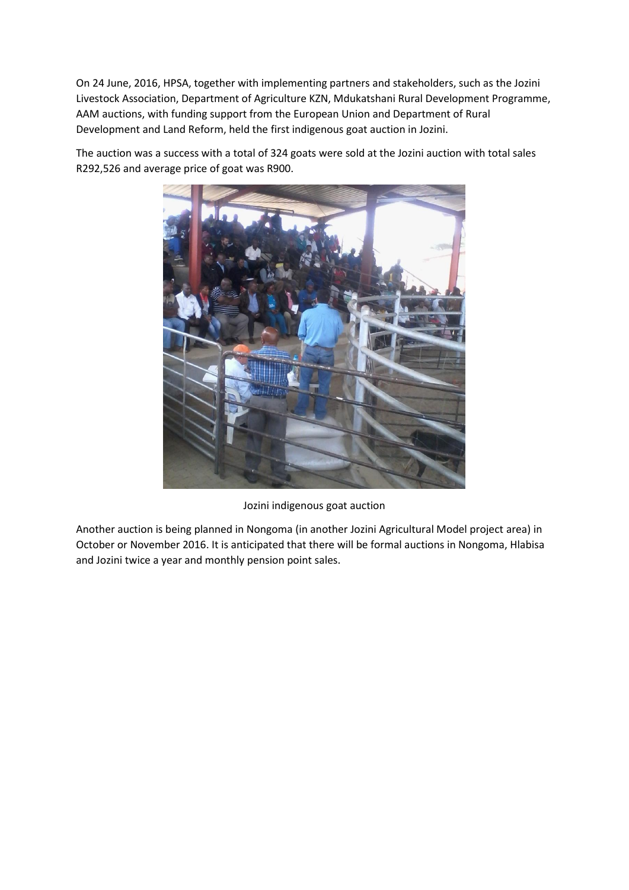On 24 June, 2016, HPSA, together with implementing partners and stakeholders, such as the Jozini Livestock Association, Department of Agriculture KZN, Mdukatshani Rural Development Programme, AAM auctions, with funding support from the European Union and Department of Rural Development and Land Reform, held the first indigenous goat auction in Jozini.

The auction was a success with a total of 324 goats were sold at the Jozini auction with total sales R292,526 and average price of goat was R900.



Jozini indigenous goat auction

Another auction is being planned in Nongoma (in another Jozini Agricultural Model project area) in October or November 2016. It is anticipated that there will be formal auctions in Nongoma, Hlabisa and Jozini twice a year and monthly pension point sales.